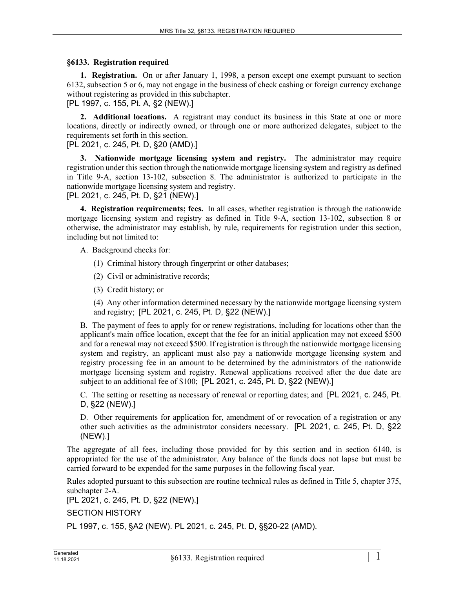## **§6133. Registration required**

**1. Registration.** On or after January 1, 1998, a person except one exempt pursuant to section 6132, subsection 5 or 6, may not engage in the business of check cashing or foreign currency exchange without registering as provided in this subchapter.

[PL 1997, c. 155, Pt. A, §2 (NEW).]

**2. Additional locations.** A registrant may conduct its business in this State at one or more locations, directly or indirectly owned, or through one or more authorized delegates, subject to the requirements set forth in this section.

[PL 2021, c. 245, Pt. D, §20 (AMD).]

**3. Nationwide mortgage licensing system and registry.** The administrator may require registration under this section through the nationwide mortgage licensing system and registry as defined in Title 9-A, section 13-102, subsection 8. The administrator is authorized to participate in the nationwide mortgage licensing system and registry.

[PL 2021, c. 245, Pt. D, §21 (NEW).]

**4. Registration requirements; fees.** In all cases, whether registration is through the nationwide mortgage licensing system and registry as defined in Title 9-A, section 13-102, subsection 8 or otherwise, the administrator may establish, by rule, requirements for registration under this section, including but not limited to:

A. Background checks for:

- (1) Criminal history through fingerprint or other databases;
- (2) Civil or administrative records;
- (3) Credit history; or

(4) Any other information determined necessary by the nationwide mortgage licensing system and registry; [PL 2021, c. 245, Pt. D, §22 (NEW).]

B. The payment of fees to apply for or renew registrations, including for locations other than the applicant's main office location, except that the fee for an initial application may not exceed \$500 and for a renewal may not exceed \$500. If registration is through the nationwide mortgage licensing system and registry, an applicant must also pay a nationwide mortgage licensing system and registry processing fee in an amount to be determined by the administrators of the nationwide mortgage licensing system and registry. Renewal applications received after the due date are subject to an additional fee of \$100; [PL 2021, c. 245, Pt. D, §22 (NEW).]

C. The setting or resetting as necessary of renewal or reporting dates; and [PL 2021, c. 245, Pt. D, §22 (NEW).]

D. Other requirements for application for, amendment of or revocation of a registration or any other such activities as the administrator considers necessary. [PL 2021, c. 245, Pt. D, §22 (NEW).]

The aggregate of all fees, including those provided for by this section and in section 6140, is appropriated for the use of the administrator. Any balance of the funds does not lapse but must be carried forward to be expended for the same purposes in the following fiscal year.

Rules adopted pursuant to this subsection are routine technical rules as defined in Title 5, chapter 375, subchapter 2-A.

[PL 2021, c. 245, Pt. D, §22 (NEW).]

SECTION HISTORY

PL 1997, c. 155, §A2 (NEW). PL 2021, c. 245, Pt. D, §§20-22 (AMD).